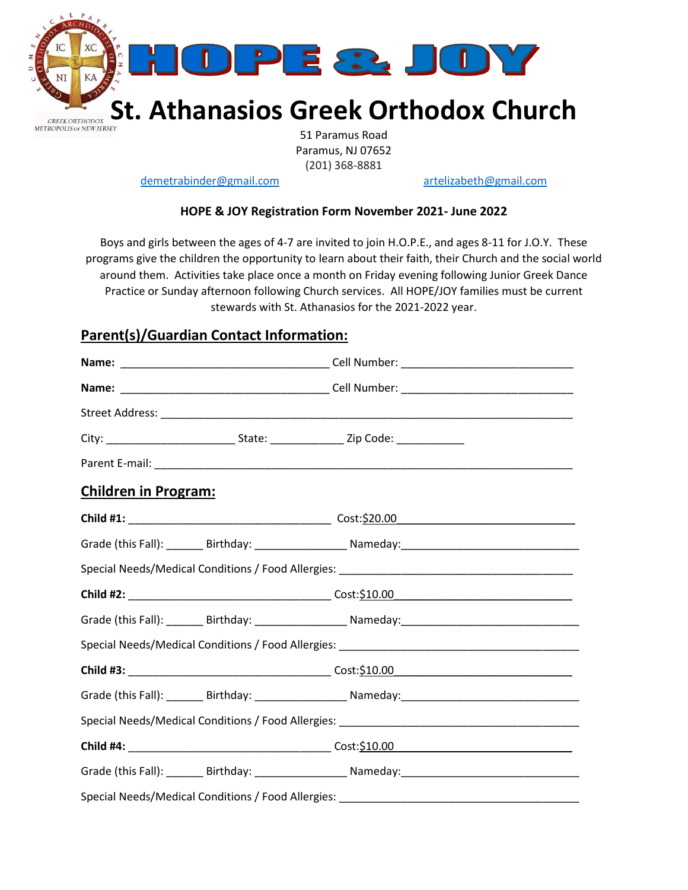

51 Paramus Road Paramus, NJ 07652 (201) 368-8881

[demetrabinder@gmail.com](mailto:grkkukli@yahoo.com) [artelizabeth@gmail.com](mailto:artelizabeth@gmail.com)

## **HOPE & JOY Registration Form November 2021- June 2022**

Boys and girls between the ages of 4-7 are invited to join H.O.P.E., and ages 8-11 for J.O.Y. These programs give the children the opportunity to learn about their faith, their Church and the social world around them. Activities take place once a month on Friday evening following Junior Greek Dance Practice or Sunday afternoon following Church services. All HOPE/JOY families must be current stewards with St. Athanasios for the 2021-2022 year.

## **Parent(s)/Guardian Contact Information:**

|                             |  | City: ___________________________________State: ________________________Zip Code: _________________        |  |  |  |
|-----------------------------|--|------------------------------------------------------------------------------------------------------------|--|--|--|
|                             |  |                                                                                                            |  |  |  |
| <b>Children in Program:</b> |  |                                                                                                            |  |  |  |
|                             |  |                                                                                                            |  |  |  |
|                             |  |                                                                                                            |  |  |  |
|                             |  |                                                                                                            |  |  |  |
|                             |  |                                                                                                            |  |  |  |
|                             |  | Grade (this Fall): ________ Birthday: ________________________ Nameday:___________________________________ |  |  |  |
|                             |  |                                                                                                            |  |  |  |
|                             |  |                                                                                                            |  |  |  |
|                             |  |                                                                                                            |  |  |  |
|                             |  |                                                                                                            |  |  |  |
|                             |  |                                                                                                            |  |  |  |
|                             |  |                                                                                                            |  |  |  |
|                             |  | Special Needs/Medical Conditions / Food Allergies: ______________________________                          |  |  |  |